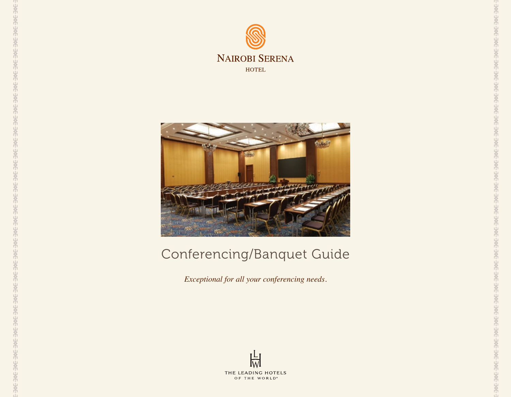



## Conferencing/Banquet Guide

*Exceptional for all your conferencing needs.*